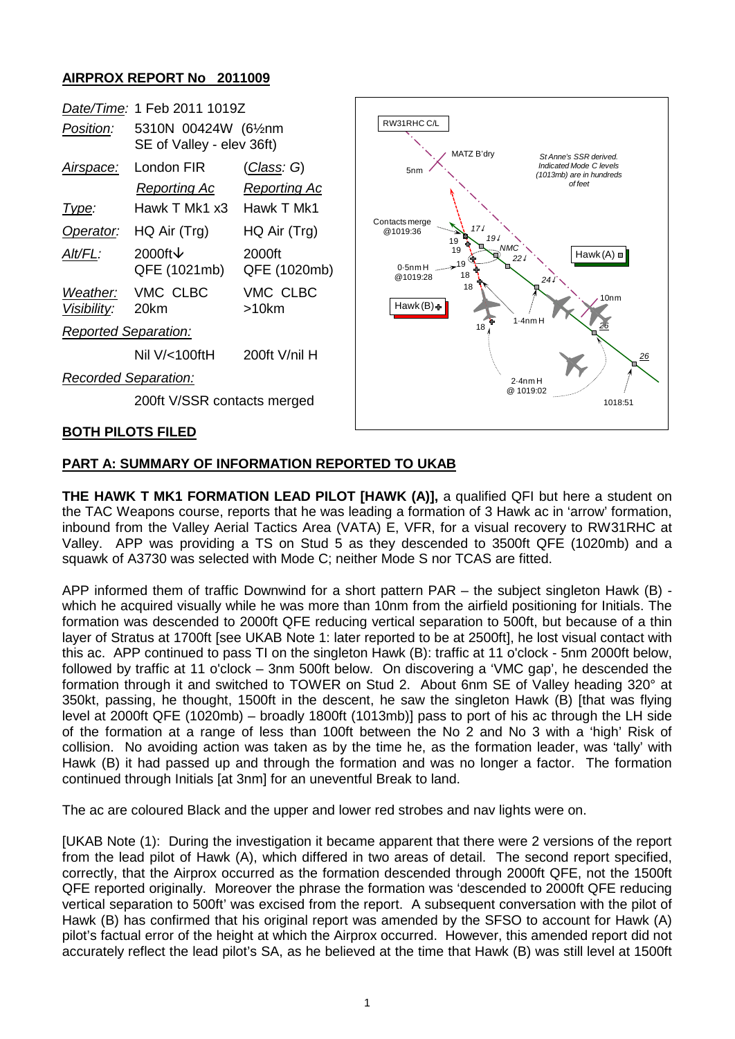## **AIRPROX REPORT No 2011009**



## **PART A: SUMMARY OF INFORMATION REPORTED TO UKAB**

**THE HAWK T MK1 FORMATION LEAD PILOT [HAWK (A)],** a qualified QFI but here a student on the TAC Weapons course, reports that he was leading a formation of 3 Hawk ac in 'arrow' formation, inbound from the Valley Aerial Tactics Area (VATA) E, VFR, for a visual recovery to RW31RHC at Valley. APP was providing a TS on Stud 5 as they descended to 3500ft QFE (1020mb) and a squawk of A3730 was selected with Mode C; neither Mode S nor TCAS are fitted.

APP informed them of traffic Downwind for a short pattern PAR – the subject singleton Hawk (B) which he acquired visually while he was more than 10nm from the airfield positioning for Initials. The formation was descended to 2000ft QFE reducing vertical separation to 500ft, but because of a thin layer of Stratus at 1700ft [see UKAB Note 1: later reported to be at 2500ft], he lost visual contact with this ac. APP continued to pass TI on the singleton Hawk (B): traffic at 11 o'clock - 5nm 2000ft below, followed by traffic at 11 o'clock – 3nm 500ft below. On discovering a 'VMC gap', he descended the formation through it and switched to TOWER on Stud 2. About 6nm SE of Valley heading 320° at 350kt, passing, he thought, 1500ft in the descent, he saw the singleton Hawk (B) [that was flying level at 2000ft QFE (1020mb) – broadly 1800ft (1013mb)] pass to port of his ac through the LH side of the formation at a range of less than 100ft between the No 2 and No 3 with a 'high' Risk of collision. No avoiding action was taken as by the time he, as the formation leader, was 'tally' with Hawk (B) it had passed up and through the formation and was no longer a factor. The formation continued through Initials [at 3nm] for an uneventful Break to land.

The ac are coloured Black and the upper and lower red strobes and nav lights were on.

[UKAB Note (1): During the investigation it became apparent that there were 2 versions of the report from the lead pilot of Hawk (A), which differed in two areas of detail. The second report specified, correctly, that the Airprox occurred as the formation descended through 2000ft QFE, not the 1500ft QFE reported originally. Moreover the phrase the formation was 'descended to 2000ft QFE reducing vertical separation to 500ft' was excised from the report. A subsequent conversation with the pilot of Hawk (B) has confirmed that his original report was amended by the SFSO to account for Hawk (A) pilot's factual error of the height at which the Airprox occurred. However, this amended report did not accurately reflect the lead pilot's SA, as he believed at the time that Hawk (B) was still level at 1500ft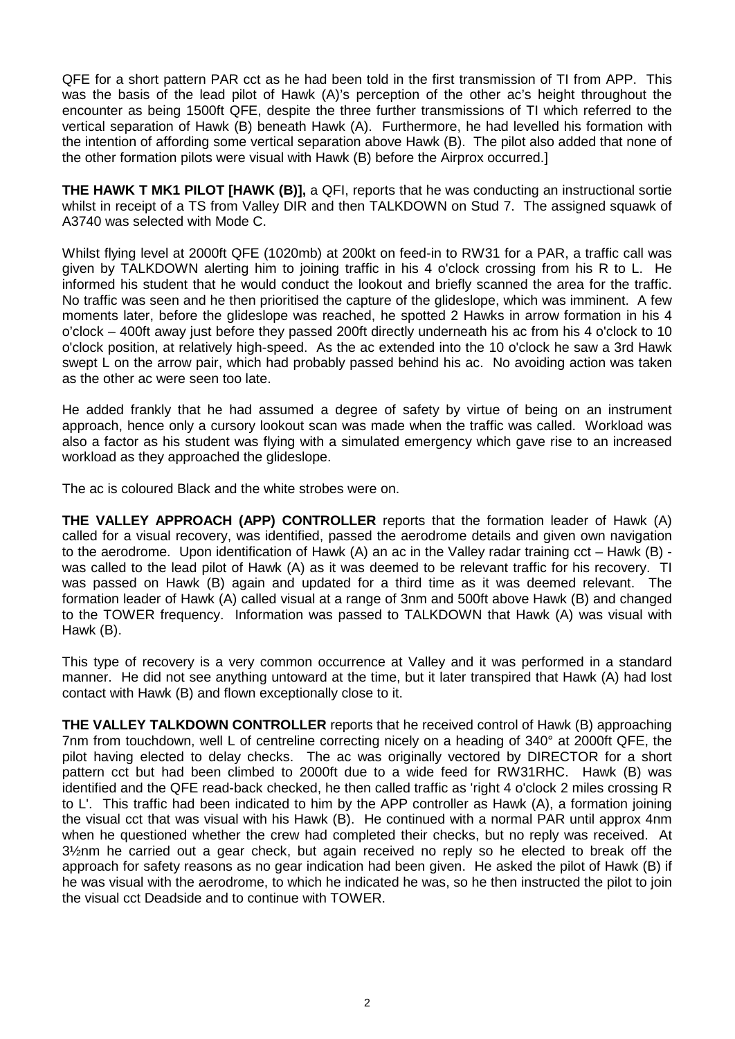QFE for a short pattern PAR cct as he had been told in the first transmission of TI from APP. This was the basis of the lead pilot of Hawk (A)'s perception of the other ac's height throughout the encounter as being 1500ft QFE, despite the three further transmissions of TI which referred to the vertical separation of Hawk (B) beneath Hawk (A). Furthermore, he had levelled his formation with the intention of affording some vertical separation above Hawk (B). The pilot also added that none of the other formation pilots were visual with Hawk (B) before the Airprox occurred.]

**THE HAWK T MK1 PILOT [HAWK (B)],** a QFI, reports that he was conducting an instructional sortie whilst in receipt of a TS from Valley DIR and then TALKDOWN on Stud 7. The assigned squawk of A3740 was selected with Mode C.

Whilst flying level at 2000ft QFE (1020mb) at 200kt on feed-in to RW31 for a PAR, a traffic call was given by TALKDOWN alerting him to joining traffic in his 4 o'clock crossing from his R to L. He informed his student that he would conduct the lookout and briefly scanned the area for the traffic. No traffic was seen and he then prioritised the capture of the glideslope, which was imminent. A few moments later, before the glideslope was reached, he spotted 2 Hawks in arrow formation in his 4 o'clock – 400ft away just before they passed 200ft directly underneath his ac from his 4 o'clock to 10 o'clock position, at relatively high-speed. As the ac extended into the 10 o'clock he saw a 3rd Hawk swept L on the arrow pair, which had probably passed behind his ac. No avoiding action was taken as the other ac were seen too late.

He added frankly that he had assumed a degree of safety by virtue of being on an instrument approach, hence only a cursory lookout scan was made when the traffic was called. Workload was also a factor as his student was flying with a simulated emergency which gave rise to an increased workload as they approached the glideslope.

The ac is coloured Black and the white strobes were on.

**THE VALLEY APPROACH (APP) CONTROLLER** reports that the formation leader of Hawk (A) called for a visual recovery, was identified, passed the aerodrome details and given own navigation to the aerodrome. Upon identification of Hawk (A) an ac in the Valley radar training cct – Hawk (B) was called to the lead pilot of Hawk (A) as it was deemed to be relevant traffic for his recovery. TI was passed on Hawk (B) again and updated for a third time as it was deemed relevant. The formation leader of Hawk (A) called visual at a range of 3nm and 500ft above Hawk (B) and changed to the TOWER frequency. Information was passed to TALKDOWN that Hawk (A) was visual with Hawk (B).

This type of recovery is a very common occurrence at Valley and it was performed in a standard manner. He did not see anything untoward at the time, but it later transpired that Hawk (A) had lost contact with Hawk (B) and flown exceptionally close to it.

**THE VALLEY TALKDOWN CONTROLLER** reports that he received control of Hawk (B) approaching 7nm from touchdown, well L of centreline correcting nicely on a heading of 340° at 2000ft QFE, the pilot having elected to delay checks. The ac was originally vectored by DIRECTOR for a short pattern cct but had been climbed to 2000ft due to a wide feed for RW31RHC. Hawk (B) was identified and the QFE read-back checked, he then called traffic as 'right 4 o'clock 2 miles crossing R to L'. This traffic had been indicated to him by the APP controller as Hawk (A), a formation joining the visual cct that was visual with his Hawk (B). He continued with a normal PAR until approx 4nm when he questioned whether the crew had completed their checks, but no reply was received. At 3½nm he carried out a gear check, but again received no reply so he elected to break off the approach for safety reasons as no gear indication had been given. He asked the pilot of Hawk (B) if he was visual with the aerodrome, to which he indicated he was, so he then instructed the pilot to join the visual cct Deadside and to continue with TOWER.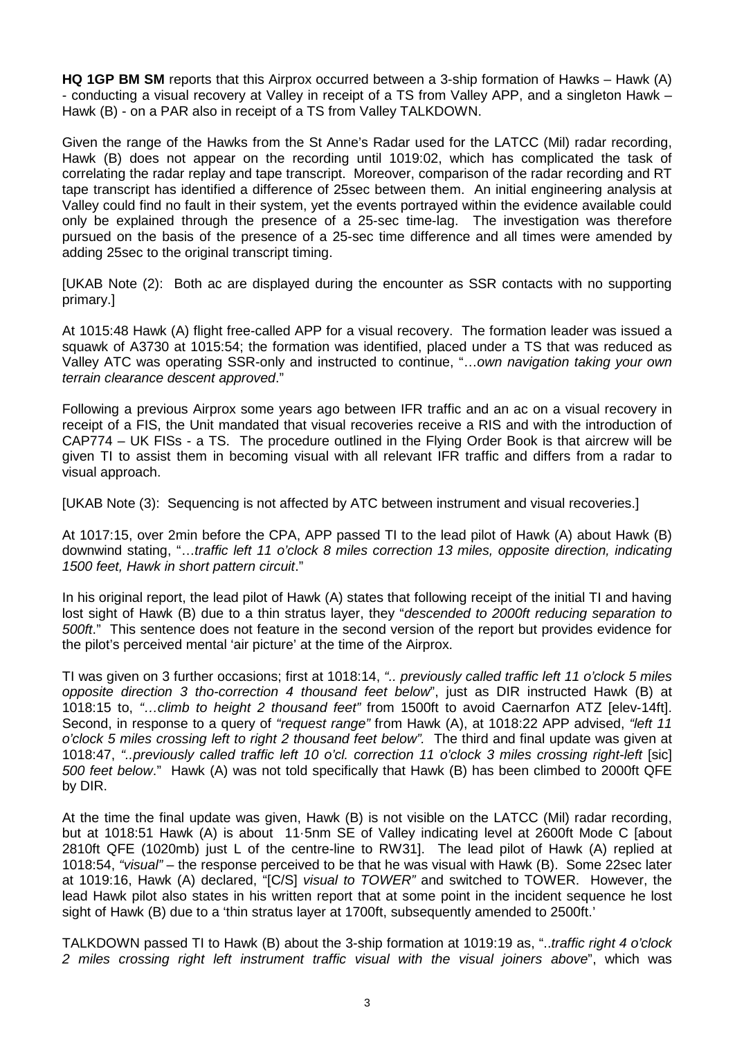**HQ 1GP BM SM** reports that this Airprox occurred between a 3-ship formation of Hawks – Hawk (A) - conducting a visual recovery at Valley in receipt of a TS from Valley APP, and a singleton Hawk – Hawk (B) - on a PAR also in receipt of a TS from Valley TALKDOWN.

Given the range of the Hawks from the St Anne's Radar used for the LATCC (Mil) radar recording, Hawk (B) does not appear on the recording until 1019:02, which has complicated the task of correlating the radar replay and tape transcript. Moreover, comparison of the radar recording and RT tape transcript has identified a difference of 25sec between them. An initial engineering analysis at Valley could find no fault in their system, yet the events portrayed within the evidence available could only be explained through the presence of a 25-sec time-lag. The investigation was therefore pursued on the basis of the presence of a 25-sec time difference and all times were amended by adding 25sec to the original transcript timing.

[UKAB Note (2): Both ac are displayed during the encounter as SSR contacts with no supporting primary.]

At 1015:48 Hawk (A) flight free-called APP for a visual recovery. The formation leader was issued a squawk of A3730 at 1015:54; the formation was identified, placed under a TS that was reduced as Valley ATC was operating SSR-only and instructed to continue, "…*own navigation taking your own terrain clearance descent approved*."

Following a previous Airprox some years ago between IFR traffic and an ac on a visual recovery in receipt of a FIS, the Unit mandated that visual recoveries receive a RIS and with the introduction of CAP774 – UK FISs - a TS. The procedure outlined in the Flying Order Book is that aircrew will be given TI to assist them in becoming visual with all relevant IFR traffic and differs from a radar to visual approach.

[UKAB Note (3): Sequencing is not affected by ATC between instrument and visual recoveries.]

At 1017:15, over 2min before the CPA, APP passed TI to the lead pilot of Hawk (A) about Hawk (B) downwind stating, "…*traffic left 11 o'clock 8 miles correction 13 miles, opposite direction, indicating 1500 feet, Hawk in short pattern circuit*."

In his original report, the lead pilot of Hawk (A) states that following receipt of the initial TI and having lost sight of Hawk (B) due to a thin stratus layer, they "*descended to 2000ft reducing separation to 500ft*." This sentence does not feature in the second version of the report but provides evidence for the pilot's perceived mental 'air picture' at the time of the Airprox.

TI was given on 3 further occasions; first at 1018:14, *".. previously called traffic left 11 o'clock 5 miles opposite direction 3 tho-correction 4 thousand feet below*", just as DIR instructed Hawk (B) at 1018:15 to, *"…climb to height 2 thousand feet"* from 1500ft to avoid Caernarfon ATZ [elev-14ft]. Second, in response to a query of *"request range"* from Hawk (A), at 1018:22 APP advised, *"left 11 o'clock 5 miles crossing left to right 2 thousand feet below".* The third and final update was given at 1018:47, *"..previously called traffic left 10 o'cl. correction 11 o'clock 3 miles crossing right-left* [sic] *500 feet below*." Hawk (A) was not told specifically that Hawk (B) has been climbed to 2000ft QFE by DIR.

At the time the final update was given, Hawk (B) is not visible on the LATCC (Mil) radar recording, but at 1018:51 Hawk (A) is about 11·5nm SE of Valley indicating level at 2600ft Mode C [about 2810ft QFE (1020mb) just L of the centre-line to RW31]. The lead pilot of Hawk (A) replied at 1018:54, *"visual"* – the response perceived to be that he was visual with Hawk (B). Some 22sec later at 1019:16, Hawk (A) declared, "[C/S] *visual to TOWER"* and switched to TOWER. However, the lead Hawk pilot also states in his written report that at some point in the incident sequence he lost sight of Hawk (B) due to a 'thin stratus layer at 1700ft, subsequently amended to 2500ft.'

TALKDOWN passed TI to Hawk (B) about the 3-ship formation at 1019:19 as, "..*traffic right 4 o'clock 2 miles crossing right left instrument traffic visual with the visual joiners above*", which was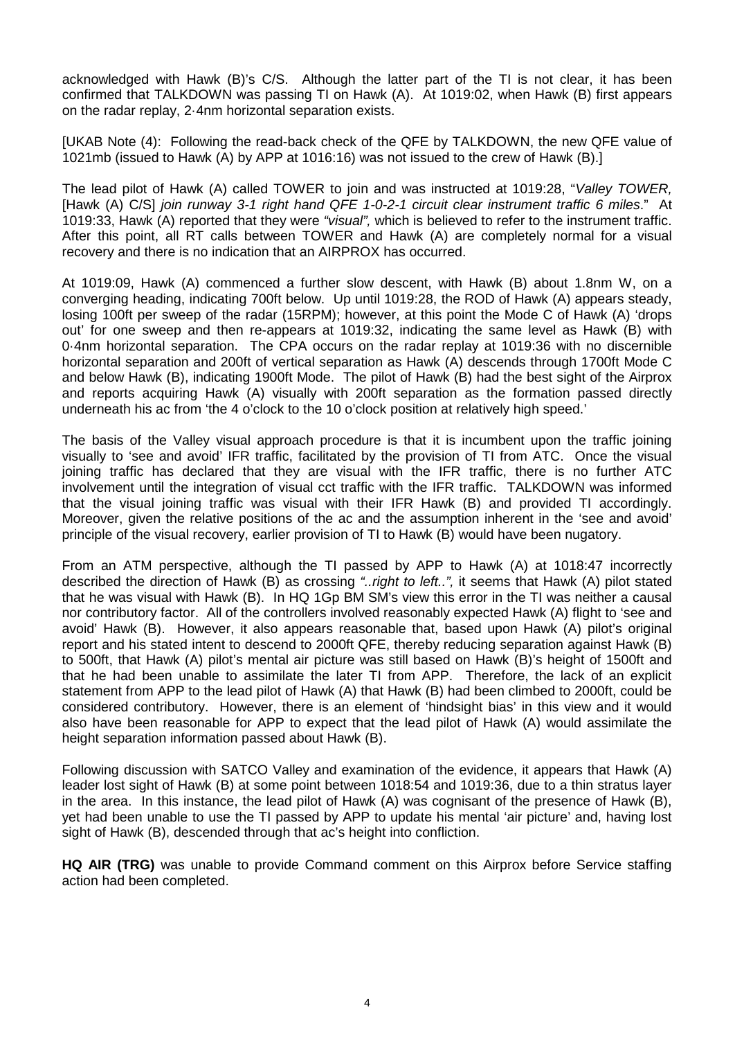acknowledged with Hawk (B)'s C/S. Although the latter part of the TI is not clear, it has been confirmed that TALKDOWN was passing TI on Hawk (A). At 1019:02, when Hawk (B) first appears on the radar replay, 2·4nm horizontal separation exists.

[UKAB Note (4): Following the read-back check of the QFE by TALKDOWN, the new QFE value of 1021mb (issued to Hawk (A) by APP at 1016:16) was not issued to the crew of Hawk (B).]

The lead pilot of Hawk (A) called TOWER to join and was instructed at 1019:28, "*Valley TOWER,* [Hawk (A) C/S] *join runway 3-1 right hand QFE 1-0-2-1 circuit clear instrument traffic 6 miles*." At 1019:33, Hawk (A) reported that they were *"visual",* which is believed to refer to the instrument traffic. After this point, all RT calls between TOWER and Hawk (A) are completely normal for a visual recovery and there is no indication that an AIRPROX has occurred.

At 1019:09, Hawk (A) commenced a further slow descent, with Hawk (B) about 1.8nm W, on a converging heading, indicating 700ft below. Up until 1019:28, the ROD of Hawk (A) appears steady, losing 100ft per sweep of the radar (15RPM); however, at this point the Mode C of Hawk (A) 'drops out' for one sweep and then re-appears at 1019:32, indicating the same level as Hawk (B) with 0·4nm horizontal separation. The CPA occurs on the radar replay at 1019:36 with no discernible horizontal separation and 200ft of vertical separation as Hawk (A) descends through 1700ft Mode C and below Hawk (B), indicating 1900ft Mode. The pilot of Hawk (B) had the best sight of the Airprox and reports acquiring Hawk (A) visually with 200ft separation as the formation passed directly underneath his ac from 'the 4 o'clock to the 10 o'clock position at relatively high speed.'

The basis of the Valley visual approach procedure is that it is incumbent upon the traffic joining visually to 'see and avoid' IFR traffic, facilitated by the provision of TI from ATC. Once the visual joining traffic has declared that they are visual with the IFR traffic, there is no further ATC involvement until the integration of visual cct traffic with the IFR traffic. TALKDOWN was informed that the visual joining traffic was visual with their IFR Hawk (B) and provided TI accordingly. Moreover, given the relative positions of the ac and the assumption inherent in the 'see and avoid' principle of the visual recovery, earlier provision of TI to Hawk (B) would have been nugatory.

From an ATM perspective, although the TI passed by APP to Hawk (A) at 1018:47 incorrectly described the direction of Hawk (B) as crossing *"..right to left..",* it seems that Hawk (A) pilot stated that he was visual with Hawk (B). In HQ 1Gp BM SM's view this error in the TI was neither a causal nor contributory factor. All of the controllers involved reasonably expected Hawk (A) flight to 'see and avoid' Hawk (B). However, it also appears reasonable that, based upon Hawk (A) pilot's original report and his stated intent to descend to 2000ft QFE, thereby reducing separation against Hawk (B) to 500ft, that Hawk (A) pilot's mental air picture was still based on Hawk (B)'s height of 1500ft and that he had been unable to assimilate the later TI from APP. Therefore, the lack of an explicit statement from APP to the lead pilot of Hawk (A) that Hawk (B) had been climbed to 2000ft, could be considered contributory. However, there is an element of 'hindsight bias' in this view and it would also have been reasonable for APP to expect that the lead pilot of Hawk (A) would assimilate the height separation information passed about Hawk (B).

Following discussion with SATCO Valley and examination of the evidence, it appears that Hawk (A) leader lost sight of Hawk (B) at some point between 1018:54 and 1019:36, due to a thin stratus layer in the area. In this instance, the lead pilot of Hawk (A) was cognisant of the presence of Hawk (B), yet had been unable to use the TI passed by APP to update his mental 'air picture' and, having lost sight of Hawk (B), descended through that ac's height into confliction.

**HQ AIR (TRG)** was unable to provide Command comment on this Airprox before Service staffing action had been completed.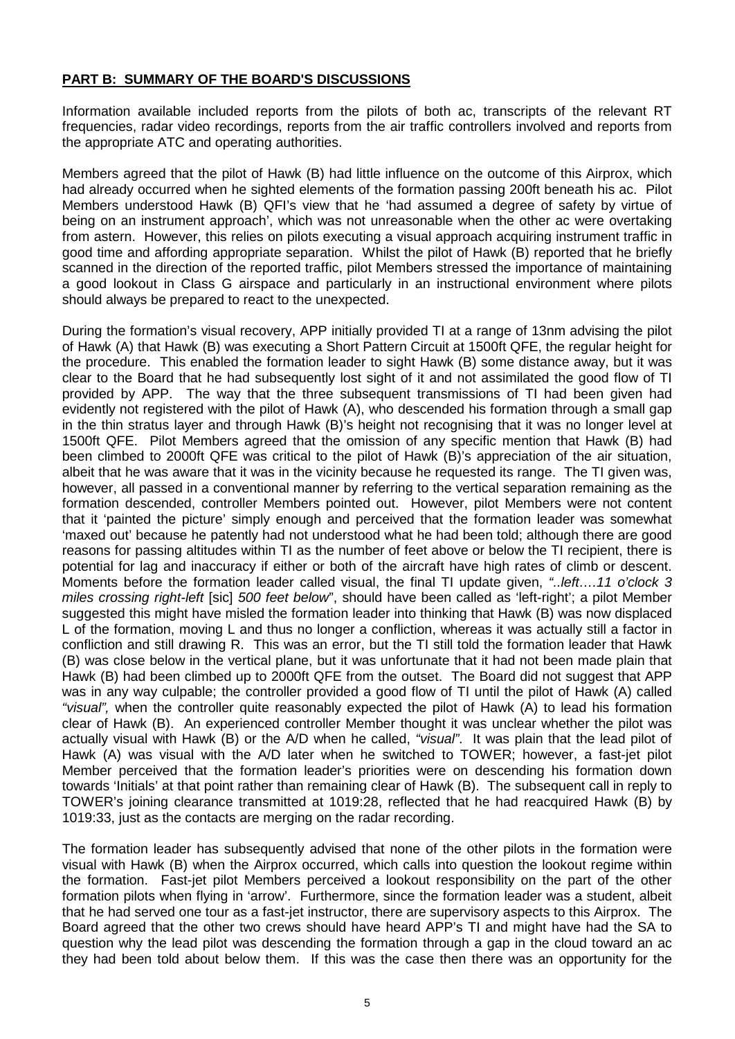## **PART B: SUMMARY OF THE BOARD'S DISCUSSIONS**

Information available included reports from the pilots of both ac, transcripts of the relevant RT frequencies, radar video recordings, reports from the air traffic controllers involved and reports from the appropriate ATC and operating authorities.

Members agreed that the pilot of Hawk (B) had little influence on the outcome of this Airprox, which had already occurred when he sighted elements of the formation passing 200ft beneath his ac. Pilot Members understood Hawk (B) QFI's view that he 'had assumed a degree of safety by virtue of being on an instrument approach', which was not unreasonable when the other ac were overtaking from astern. However, this relies on pilots executing a visual approach acquiring instrument traffic in good time and affording appropriate separation. Whilst the pilot of Hawk (B) reported that he briefly scanned in the direction of the reported traffic, pilot Members stressed the importance of maintaining a good lookout in Class G airspace and particularly in an instructional environment where pilots should always be prepared to react to the unexpected.

During the formation's visual recovery, APP initially provided TI at a range of 13nm advising the pilot of Hawk (A) that Hawk (B) was executing a Short Pattern Circuit at 1500ft QFE, the regular height for the procedure. This enabled the formation leader to sight Hawk (B) some distance away, but it was clear to the Board that he had subsequently lost sight of it and not assimilated the good flow of TI provided by APP. The way that the three subsequent transmissions of TI had been given had evidently not registered with the pilot of Hawk (A), who descended his formation through a small gap in the thin stratus layer and through Hawk (B)'s height not recognising that it was no longer level at 1500ft QFE. Pilot Members agreed that the omission of any specific mention that Hawk (B) had been climbed to 2000ft QFE was critical to the pilot of Hawk (B)'s appreciation of the air situation, albeit that he was aware that it was in the vicinity because he requested its range. The TI given was, however, all passed in a conventional manner by referring to the vertical separation remaining as the formation descended, controller Members pointed out. However, pilot Members were not content that it 'painted the picture' simply enough and perceived that the formation leader was somewhat 'maxed out' because he patently had not understood what he had been told; although there are good reasons for passing altitudes within TI as the number of feet above or below the TI recipient, there is potential for lag and inaccuracy if either or both of the aircraft have high rates of climb or descent. Moments before the formation leader called visual, the final TI update given, *"..left….11 o'clock 3 miles crossing right-left* [sic] *500 feet below*", should have been called as 'left-right'; a pilot Member suggested this might have misled the formation leader into thinking that Hawk (B) was now displaced L of the formation, moving L and thus no longer a confliction, whereas it was actually still a factor in confliction and still drawing R. This was an error, but the TI still told the formation leader that Hawk (B) was close below in the vertical plane, but it was unfortunate that it had not been made plain that Hawk (B) had been climbed up to 2000ft QFE from the outset. The Board did not suggest that APP was in any way culpable; the controller provided a good flow of TI until the pilot of Hawk (A) called *"visual",* when the controller quite reasonably expected the pilot of Hawk (A) to lead his formation clear of Hawk (B). An experienced controller Member thought it was unclear whether the pilot was actually visual with Hawk (B) or the A/D when he called, *"visual"*. It was plain that the lead pilot of Hawk (A) was visual with the A/D later when he switched to TOWER; however, a fast-jet pilot Member perceived that the formation leader's priorities were on descending his formation down towards 'Initials' at that point rather than remaining clear of Hawk (B). The subsequent call in reply to TOWER's joining clearance transmitted at 1019:28, reflected that he had reacquired Hawk (B) by 1019:33, just as the contacts are merging on the radar recording.

The formation leader has subsequently advised that none of the other pilots in the formation were visual with Hawk (B) when the Airprox occurred, which calls into question the lookout regime within the formation. Fast-jet pilot Members perceived a lookout responsibility on the part of the other formation pilots when flying in 'arrow'. Furthermore, since the formation leader was a student, albeit that he had served one tour as a fast-jet instructor, there are supervisory aspects to this Airprox. The Board agreed that the other two crews should have heard APP's TI and might have had the SA to question why the lead pilot was descending the formation through a gap in the cloud toward an ac they had been told about below them. If this was the case then there was an opportunity for the